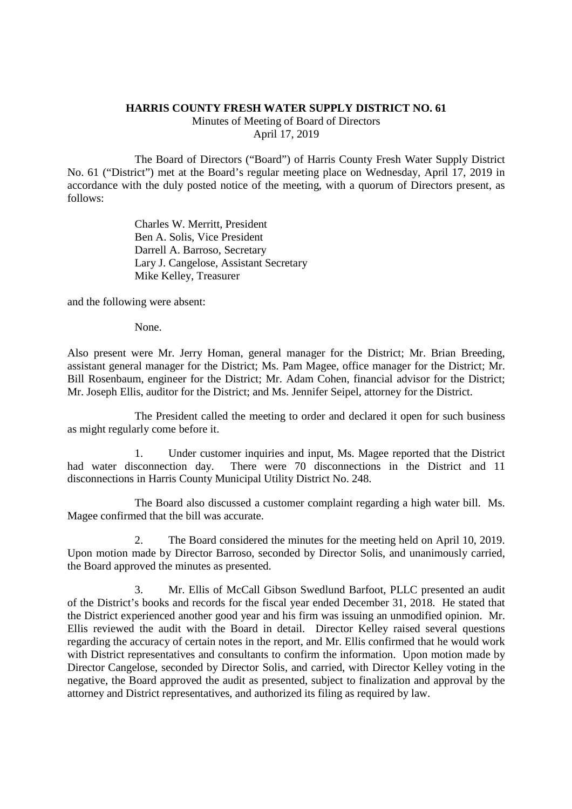## **HARRIS COUNTY FRESH WATER SUPPLY DISTRICT NO. 61**

Minutes of Meeting of Board of Directors April 17, 2019

The Board of Directors ("Board") of Harris County Fresh Water Supply District No. 61 ("District") met at the Board's regular meeting place on Wednesday, April 17, 2019 in accordance with the duly posted notice of the meeting, with a quorum of Directors present, as follows:

> Charles W. Merritt, President Ben A. Solis, Vice President Darrell A. Barroso, Secretary Lary J. Cangelose, Assistant Secretary Mike Kelley, Treasurer

and the following were absent:

None.

Also present were Mr. Jerry Homan, general manager for the District; Mr. Brian Breeding, assistant general manager for the District; Ms. Pam Magee, office manager for the District; Mr. Bill Rosenbaum, engineer for the District; Mr. Adam Cohen, financial advisor for the District; Mr. Joseph Ellis, auditor for the District; and Ms. Jennifer Seipel, attorney for the District.

The President called the meeting to order and declared it open for such business as might regularly come before it.

1. Under customer inquiries and input, Ms. Magee reported that the District had water disconnection day. There were 70 disconnections in the District and 11 disconnections in Harris County Municipal Utility District No. 248.

The Board also discussed a customer complaint regarding a high water bill. Ms. Magee confirmed that the bill was accurate.

2. The Board considered the minutes for the meeting held on April 10, 2019. Upon motion made by Director Barroso, seconded by Director Solis, and unanimously carried, the Board approved the minutes as presented.

3. Mr. Ellis of McCall Gibson Swedlund Barfoot, PLLC presented an audit of the District's books and records for the fiscal year ended December 31, 2018. He stated that the District experienced another good year and his firm was issuing an unmodified opinion. Mr. Ellis reviewed the audit with the Board in detail. Director Kelley raised several questions regarding the accuracy of certain notes in the report, and Mr. Ellis confirmed that he would work with District representatives and consultants to confirm the information. Upon motion made by Director Cangelose, seconded by Director Solis, and carried, with Director Kelley voting in the negative, the Board approved the audit as presented, subject to finalization and approval by the attorney and District representatives, and authorized its filing as required by law.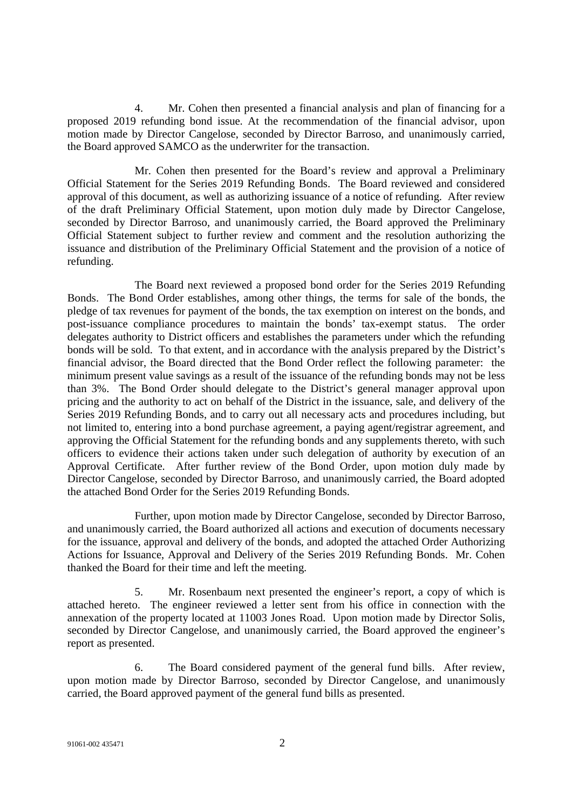4. Mr. Cohen then presented a financial analysis and plan of financing for a proposed 2019 refunding bond issue. At the recommendation of the financial advisor, upon motion made by Director Cangelose, seconded by Director Barroso, and unanimously carried, the Board approved SAMCO as the underwriter for the transaction.

Mr. Cohen then presented for the Board's review and approval a Preliminary Official Statement for the Series 2019 Refunding Bonds. The Board reviewed and considered approval of this document, as well as authorizing issuance of a notice of refunding. After review of the draft Preliminary Official Statement, upon motion duly made by Director Cangelose, seconded by Director Barroso, and unanimously carried, the Board approved the Preliminary Official Statement subject to further review and comment and the resolution authorizing the issuance and distribution of the Preliminary Official Statement and the provision of a notice of refunding.

The Board next reviewed a proposed bond order for the Series 2019 Refunding Bonds. The Bond Order establishes, among other things, the terms for sale of the bonds, the pledge of tax revenues for payment of the bonds, the tax exemption on interest on the bonds, and post-issuance compliance procedures to maintain the bonds' tax-exempt status. The order delegates authority to District officers and establishes the parameters under which the refunding bonds will be sold. To that extent, and in accordance with the analysis prepared by the District's financial advisor, the Board directed that the Bond Order reflect the following parameter: the minimum present value savings as a result of the issuance of the refunding bonds may not be less than 3%. The Bond Order should delegate to the District's general manager approval upon pricing and the authority to act on behalf of the District in the issuance, sale, and delivery of the Series 2019 Refunding Bonds, and to carry out all necessary acts and procedures including, but not limited to, entering into a bond purchase agreement, a paying agent/registrar agreement, and approving the Official Statement for the refunding bonds and any supplements thereto, with such officers to evidence their actions taken under such delegation of authority by execution of an Approval Certificate. After further review of the Bond Order, upon motion duly made by Director Cangelose, seconded by Director Barroso, and unanimously carried, the Board adopted the attached Bond Order for the Series 2019 Refunding Bonds.

Further, upon motion made by Director Cangelose, seconded by Director Barroso, and unanimously carried, the Board authorized all actions and execution of documents necessary for the issuance, approval and delivery of the bonds, and adopted the attached Order Authorizing Actions for Issuance, Approval and Delivery of the Series 2019 Refunding Bonds. Mr. Cohen thanked the Board for their time and left the meeting.

5. Mr. Rosenbaum next presented the engineer's report, a copy of which is attached hereto. The engineer reviewed a letter sent from his office in connection with the annexation of the property located at 11003 Jones Road. Upon motion made by Director Solis, seconded by Director Cangelose, and unanimously carried, the Board approved the engineer's report as presented.

6. The Board considered payment of the general fund bills. After review, upon motion made by Director Barroso, seconded by Director Cangelose, and unanimously carried, the Board approved payment of the general fund bills as presented.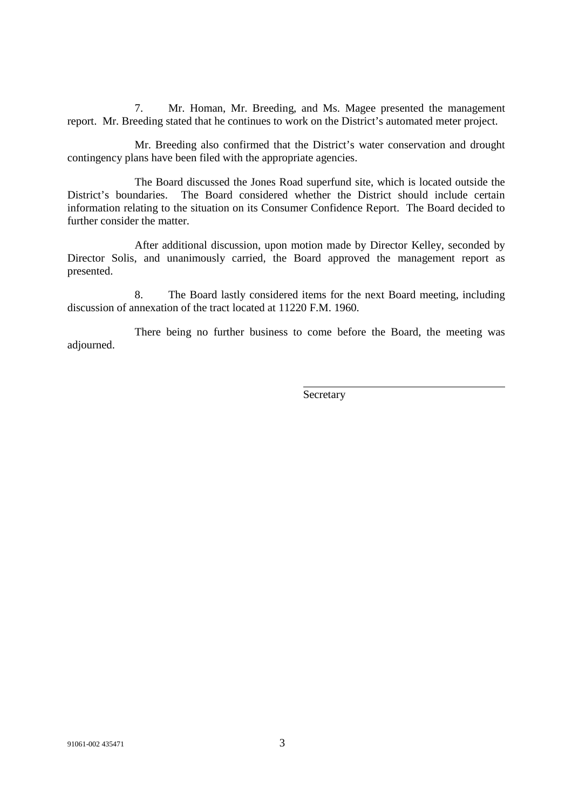7. Mr. Homan, Mr. Breeding, and Ms. Magee presented the management report. Mr. Breeding stated that he continues to work on the District's automated meter project.

Mr. Breeding also confirmed that the District's water conservation and drought contingency plans have been filed with the appropriate agencies.

The Board discussed the Jones Road superfund site, which is located outside the District's boundaries. The Board considered whether the District should include certain information relating to the situation on its Consumer Confidence Report. The Board decided to further consider the matter.

After additional discussion, upon motion made by Director Kelley, seconded by Director Solis, and unanimously carried, the Board approved the management report as presented.

8. The Board lastly considered items for the next Board meeting, including discussion of annexation of the tract located at 11220 F.M. 1960.

There being no further business to come before the Board, the meeting was adjourned.

Secretary